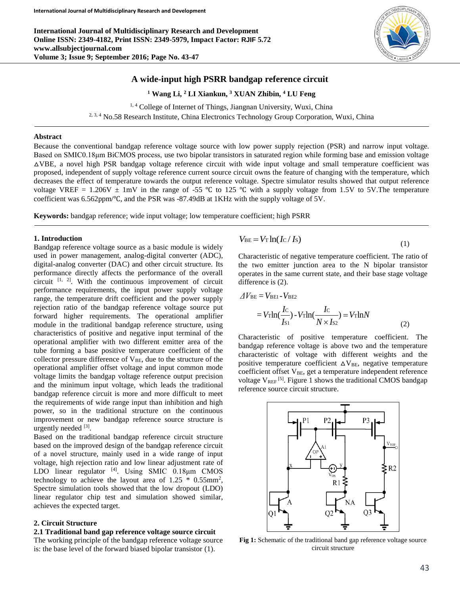**International Journal of Multidisciplinary Research and Development Online ISSN: 2349-4182, Print ISSN: 2349-5979, Impact Factor: RJIF 5.72 www.allsubjectjournal.com Volume 3; Issue 9; September 2016; Page No. 43-47**



**<sup>1</sup> Wang Li, <sup>2</sup> LI Xiankun, <sup>3</sup> XUAN Zhibin, <sup>4</sup> LU Feng**

<sup>1, 4</sup> College of Internet of Things, Jiangnan University, Wuxi, China

<sup>2, 3, 4</sup> No.58 Research Institute, China Electronics Technology Group Corporation, Wuxi, China

## **Abstract**

Because the conventional bandgap reference voltage source with low power supply rejection (PSR) and narrow input voltage. Based on SMIC0.18μm BiCMOS process, use two bipolar transistors in saturated region while forming base and emission voltage △VBE, a novel high PSR bandgap voltage reference circuit with wide input voltage and small temperature coefficient was proposed, independent of supply voltage reference current source circuit owns the feature of changing with the temperature, which decreases the effect of temperature towards the output reference voltage. Spectre simulator results showed that output reference voltage VREF =  $1.206V \pm 1mV$  in the range of -55 °C to 125 °C with a supply voltage from 1.5V to 5V. The temperature coefficient was 6.562ppm/℃, and the PSR was -87.49dB at 1KHz with the supply voltage of 5V.

**Keywords:** bandgap reference; wide input voltage; low temperature coefficient; high PSRR

### **1. Introduction**

Bandgap reference voltage source as a basic module is widely used in power management, analog-digital converter (ADC), digital-analog converter (DAC) and other circuit structure. Its performance directly affects the performance of the overall circuit  $[1, 2]$ . With the continuous improvement of circuit performance requirements, the input power supply voltage range, the temperature drift coefficient and the power supply rejection ratio of the bandgap reference voltage source put forward higher requirements. The operational amplifier module in the traditional bandgap reference structure, using characteristics of positive and negative input terminal of the operational amplifier with two different emitter area of the tube forming a base positive temperature coefficient of the collector pressure difference of  $V_{BE}$ , due to the structure of the operational amplifier offset voltage and input common mode voltage limits the bandgap voltage reference output precision and the minimum input voltage, which leads the traditional bandgap reference circuit is more and more difficult to meet the requirements of wide range input than inhibition and high power, so in the traditional structure on the continuous improvement or new bandgap reference source structure is urgently needed [3].

Based on the traditional bandgap reference circuit structure based on the improved design of the bandgap reference circuit of a novel structure, mainly used in a wide range of input voltage, high rejection ratio and low linear adjustment rate of LDO linear regulator  $^{[4]}$ . Using SMIC 0.18 $\mu$ m CMOS technology to achieve the layout area of  $1.25 * 0.55$ mm<sup>2</sup>, Spectre simulation tools showed that the low dropout (LDO) linear regulator chip test and simulation showed similar, achieves the expected target.

# **2. Circuit Structure**

### **2.1 Traditional band gap reference voltage source circuit**

The working principle of the bandgap reference voltage source is: the base level of the forward biased bipolar transistor (1).

$$
V_{\rm BE} = V_{\rm T} \ln(I_{\rm C}/I_{\rm S}) \tag{1}
$$

Characteristic of negative temperature coefficient. The ratio of the two emitter junction area to the N bipolar transistor operates in the same current state, and their base stage voltage difference is  $(2)$ .

$$
\Delta V_{\text{BE}} = V_{\text{BE1}} - V_{\text{BE2}}
$$
  
=  $V_{\text{T}} \ln(\frac{I_{\text{C}}}{I_{\text{S1}}}) - V_{\text{T}} \ln(\frac{I_{\text{C}}}{N \times I_{\text{S2}}}) = V_{\text{T}} \ln N$  (2)

Characteristic of positive temperature coefficient. The bandgap reference voltage is above two and the temperature characteristic of voltage with different weights and the positive temperature coefficient  $\Delta V_{BE}$ , negative temperature coefficient offset V<sub>BE</sub>, get a temperature independent reference voltage  $V_{REF}$ <sup>[5]</sup>. Figure 1 shows the traditional CMOS bandgap reference source circuit structure.



**Fig 1:** Schematic of the traditional band gap reference voltage source circuit structure

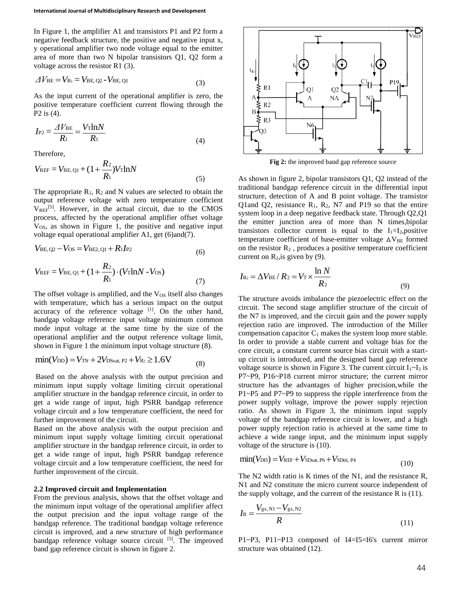In Figure 1, the amplifier A1 and transistors P1 and P2 form a negative feedback structure, the positive and negative input x, y operational amplifier two node voltage equal to the emitter area of more than two N bipolar transistors Q1, Q2 form a voltage across the resistor R1 (3).

$$
\Delta V_{\rm BE} = V_{\rm Ri} = V_{\rm BE, Q2} - V_{\rm BE, Q1}
$$
\n(3)

As the input current of the operational amplifier is zero, the positive temperature coefficient current flowing through the P2 is (4).

$$
I_{\rm P2} = \frac{\Delta V_{\rm BE}}{R_1} = \frac{V_{\rm T} \ln N}{R_1} \tag{4}
$$

Therefore,

$$
V_{\text{REF}} = V_{\text{BE, Q1}} + (1 + \frac{R_2}{R_1}) V_{\text{T}} \ln N
$$
 (5)

The appropriate  $R_1$ ,  $R_2$  and N values are selected to obtain the output reference voltage with zero temperature coefficient  $V_{REF}$ <sup>[5]</sup>. However, in the actual circuit, due to the CMOS process, affected by the operational amplifier offset voltage V<sub>OS</sub>, as shown in Figure 1, the positive and negative input voltage equal operational amplifier A1, get (6)and(7).

$$
V_{\text{BE},\,Q2} - V_{\text{OS}} = V_{\text{BE2},\,Q1} + R_1 I_{\text{P2}} \tag{6}
$$

$$
V_{\text{REF}} = V_{\text{BE, Q1}} + (1 + \frac{R_2}{R_1}) \cdot (V_{\text{T}} \ln N - V_{\text{OS}})
$$
\n(7)

The offset voltage is amplified, and the  $V_{OS}$  itself also changes with temperature, which has a serious impact on the output accuracy of the reference voltage  $[1]$ . On the other hand, bandgap voltage reference input voltage minimum common mode input voltage at the same time by the size of the operational amplifier and the output reference voltage limit, shown in Figure 1 the minimum input voltage structure (8).

$$
min(V_{DD}) = V_{TN} + 2V_{DSsat, P2} + V_{R2} \ge 1.6V
$$
 (8)

Based on the above analysis with the output precision and minimum input supply voltage limiting circuit operational amplifier structure in the bandgap reference circuit, in order to get a wide range of input, high PSRR bandgap reference voltage circuit and a low temperature coefficient, the need for further improvement of the circuit.

Based on the above analysis with the output precision and minimum input supply voltage limiting circuit operational amplifier structure in the bandgap reference circuit, in order to get a wide range of input, high PSRR bandgap reference voltage circuit and a low temperature coefficient, the need for further improvement of the circuit.

#### **2.2 Improved circuit and Implementation**

From the previous analysis, shows that the offset voltage and the minimum input voltage of the operational amplifier affect the output precision and the input voltage range of the bandgap reference. The traditional bandgap voltage reference circuit is improved, and a new structure of high performance bandgap reference voltage source circuit <sup>[5]</sup>. The improved band gap reference circuit is shown in figure 2.



**Fig 2:** the improved band gap reference source

As shown in figure 2, bipolar transistors Q1, Q2 instead of the traditional bandgap reference circuit in the differential input structure, detection of A and B point voltage. The transistor Q1and Q2, resistance  $R_1$ ,  $R_2$ , N7 and P19 so that the entire system loop in a deep negative feedback state. Through Q2,Q1 the emitter junction area of more than N times,bipolar transistors collector current is equal to the  $I_1=I_2$ , positive temperature coefficient of base-emitter voltage  $\Delta V_{BE}$  formed on the resistor  $R_2$ , produces a positive temperature coefficient current on  $R_2$ , is given by (9).

$$
I_{\text{R2}} = \Delta V_{\text{BE}} / R_2 = V_{\text{T}} \times \frac{\ln N}{R_2}
$$
\n(9)

The structure avoids imbalance the piezoelectric effect on the circuit. The second stage amplifier structure of the circuit of the N7 is improved, and the circuit gain and the power supply rejection ratio are improved. The introduction of the Miller compensation capacitor  $C_1$  makes the system loop more stable. In order to provide a stable current and voltage bias for the core circuit, a constant current source bias circuit with a startup circuit is introduced, and the designed band gap reference voltage source is shown in Figure 3. The current circuit  $I_1 \sim I_3$  is P7~P9, P16~P18 current mirror structure; the current mirror structure has the advantages of higher precision,while the P1~P5 and P7~P9 to suppress the ripple interference from the power supply voltage, improve the power supply rejection ratio. As shown in Figure 3, the minimum input supply voltage of the bandgap reference circuit is lower, and a high power supply rejection ratio is achieved at the same time to achieve a wide range input, and the minimum input supply voltage of the structure is (10).

$$
\min(V_{DD}) = V_{REF} + V_{SDsat, P6} + V_{SDtri, P4}
$$
\n(10)

The N2 width ratio is K times of the N1, and the resistance R, N1 and N2 constitute the micro current source independent of the supply voltage, and the current of the resistance R is (11).

$$
I_{\rm R} = \frac{V_{\rm gs, N1} - V_{\rm gs, N2}}{R}
$$
 (11)

P1~P3, P11~P13 composed of I4=I5=I6's current mirror structure was obtained (12).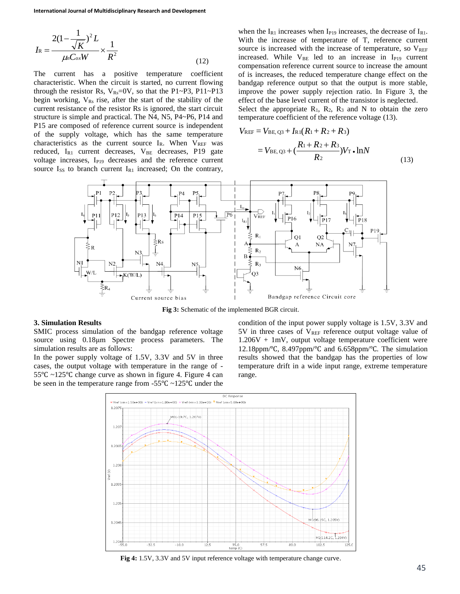$$
I_{\rm R} = \frac{2(1 - \frac{1}{\sqrt{K}})^2 L}{\mu_0 C_{ox} W} \times \frac{1}{R^2}
$$
 (12)

The current has a positive temperature coefficient characteristic. When the circuit is started, no current flowing through the resistor Rs,  $V_{\text{Rs}}=0V$ , so that the P1~P3, P11~P13 begin working,  $V_{Rs}$  rise, after the start of the stability of the current resistance of the resistor Rs is ignored, the start circuit structure is simple and practical. The N4, N5, P4~P6, P14 and P15 are composed of reference current source is independent of the supply voltage, which has the same temperature characteristics as the current source  $I_R$ . When  $V_{REF}$  was reduced,  $I_{R1}$  current decreases,  $V_{BE}$  decreases, P19 gate voltage increases, I<sub>P19</sub> decreases and the reference current source  $I_{SS}$  to branch current  $I_{R1}$  increased; On the contrary, when the  $I_{R1}$  increases when  $I_{P19}$  increases, the decrease of  $I_{R1}$ . With the increase of temperature of T, reference current source is increased with the increase of temperature, so  $V_{REF}$ increased. While  $V_{BE}$  led to an increase in I<sub>P19</sub> current compensation reference current source to increase the amount of is increases, the reduced temperature change effect on the bandgap reference output so that the output is more stable, improve the power supply rejection ratio. In Figure 3, the effect of the base level current of the transistor is neglected. Select the appropriate  $R_1$ ,  $R_2$ ,  $R_3$  and N to obtain the zero temperature coefficient of the reference voltage (13).

$$
V_{\text{REF}} = V_{\text{BE, Q3}} + I_{\text{R1}}(R_1 + R_2 + R_3)
$$
  
=  $V_{\text{BE, Q3}} + (\frac{R_1 + R_2 + R_3}{R_2})V_{\text{T}} \cdot \ln N$  (13)



**Fig 3:** Schematic of the implemented BGR circuit.

#### **3. Simulation Results**

SMIC process simulation of the bandgap reference voltage source using 0.18μm Spectre process parameters. The simulation results are as follows:

In the power supply voltage of 1.5V, 3.3V and 5V in three cases, the output voltage with temperature in the range of - 55℃ ~125℃ change curve as shown in figure 4. Figure 4 can be seen in the temperature range from -55℃ ~125℃ under the condition of the input power supply voltage is 1.5V, 3.3V and  $5V$  in three cases of  $V_{REF}$  reference output voltage value of  $1.206V + 1mV$ , output voltage temperature coefficient were 12.18ppm/℃, 8.497ppm/℃ and 6.658ppm/℃. The simulation results showed that the bandgap has the properties of low temperature drift in a wide input range, extreme temperature range.



**Fig 4:** 1.5V, 3.3V and 5V input reference voltage with temperature change curve.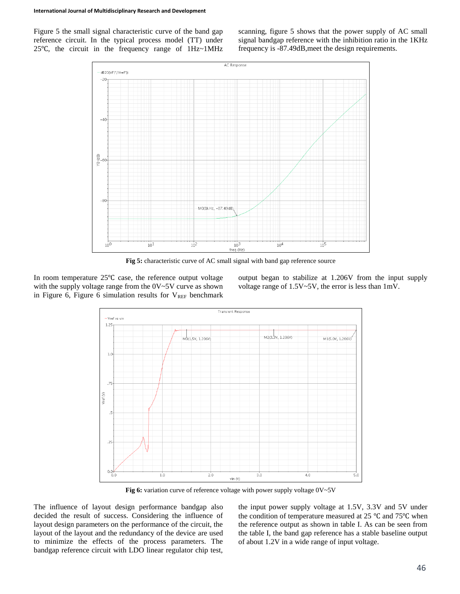Figure 5 the small signal characteristic curve of the band gap reference circuit. In the typical process model (TT) under 25℃, the circuit in the frequency range of 1Hz~1MHz scanning, figure 5 shows that the power supply of AC small signal bandgap reference with the inhibition ratio in the 1KHz frequency is -87.49dB,meet the design requirements.



**Fig 5:** characteristic curve of AC small signal with band gap reference source

In room temperature 25℃ case, the reference output voltage with the supply voltage range from the  $0V~5V$  curve as shown in Figure 6, Figure 6 simulation results for  $V_{REF}$  benchmark output began to stabilize at 1.206V from the input supply voltage range of 1.5V~5V, the error is less than 1mV.



**Fig 6:** variation curve of reference voltage with power supply voltage 0V~5V

The influence of layout design performance bandgap also decided the result of success. Considering the influence of layout design parameters on the performance of the circuit, the layout of the layout and the redundancy of the device are used to minimize the effects of the process parameters. The bandgap reference circuit with LDO linear regulator chip test,

the input power supply voltage at 1.5V, 3.3V and 5V under the condition of temperature measured at 25 ℃ and 75℃ when the reference output as shown in table I. As can be seen from the table I, the band gap reference has a stable baseline output of about 1.2V in a wide range of input voltage.